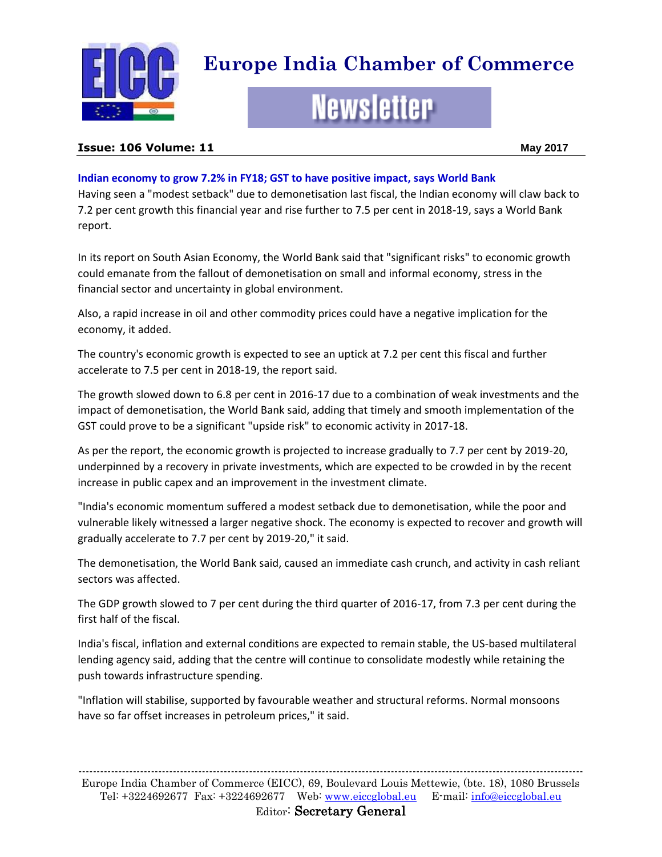

# **Europe India Chamber of Commerce**

# **Newsletter**

#### **Issue: 106 Volume: 11 May 2017**

# **Indian economy to grow 7.2% in FY18; GST to have positive impact, says World Bank**

Having seen a "modest setback" due to demonetisation last fiscal, the Indian economy will claw back to 7.2 per cent growth this financial year and rise further to 7.5 per cent in 2018-19, says a World Bank report.

In its report on South Asian Economy, the World Bank said that "significant risks" to economic growth could emanate from the fallout of demonetisation on small and informal economy, stress in the financial sector and uncertainty in global environment.

Also, a rapid increase in oil and other commodity prices could have a negative implication for the economy, it added.

The country's economic growth is expected to see an uptick at 7.2 per cent this fiscal and further accelerate to 7.5 per cent in 2018-19, the report said.

The growth slowed down to 6.8 per cent in 2016-17 due to a combination of weak investments and the impact of demonetisation, the World Bank said, adding that timely and smooth implementation of the GST could prove to be a significant "upside risk" to economic activity in 2017-18.

As per the report, the economic growth is projected to increase gradually to 7.7 per cent by 2019-20, underpinned by a recovery in private investments, which are expected to be crowded in by the recent increase in public capex and an improvement in the investment climate.

"India's economic momentum suffered a modest setback due to demonetisation, while the poor and vulnerable likely witnessed a larger negative shock. The economy is expected to recover and growth will gradually accelerate to 7.7 per cent by 2019-20," it said.

The demonetisation, the World Bank said, caused an immediate cash crunch, and activity in cash reliant sectors was affected.

The GDP growth slowed to 7 per cent during the third quarter of 2016-17, from 7.3 per cent during the first half of the fiscal.

India's fiscal, inflation and external conditions are expected to remain stable, the US-based multilateral lending agency said, adding that the centre will continue to consolidate modestly while retaining the push towards infrastructure spending.

"Inflation will stabilise, supported by favourable weather and structural reforms. Normal monsoons have so far offset increases in petroleum prices," it said.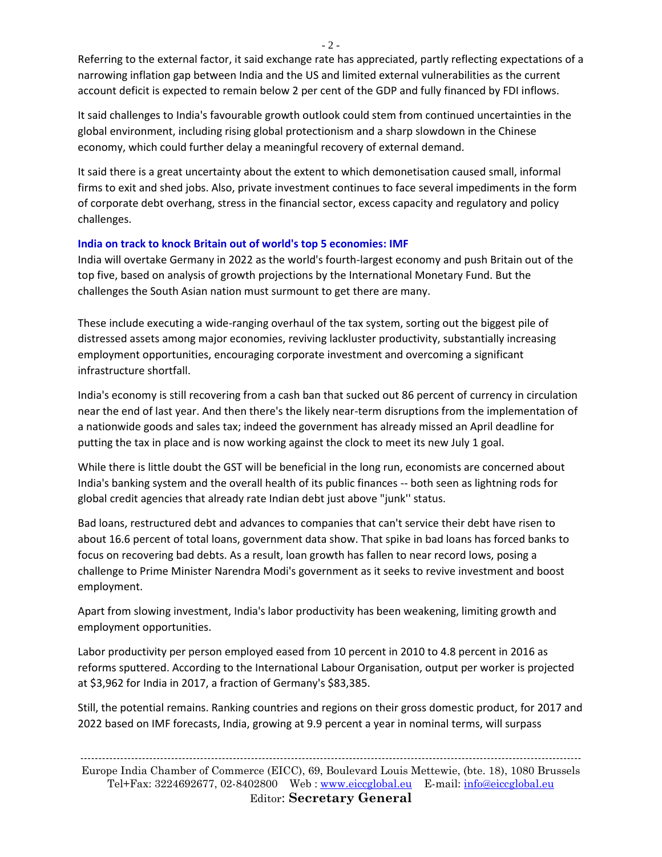$-2 -$ 

Referring to the external factor, it said exchange rate has appreciated, partly reflecting expectations of a narrowing inflation gap between India and the US and limited external vulnerabilities as the current account deficit is expected to remain below 2 per cent of the GDP and fully financed by FDI inflows.

It said challenges to India's favourable growth outlook could stem from continued uncertainties in the global environment, including rising global protectionism and a sharp slowdown in the Chinese economy, which could further delay a meaningful recovery of external demand.

It said there is a great uncertainty about the extent to which demonetisation caused small, informal firms to exit and shed jobs. Also, private investment continues to face several impediments in the form of corporate debt overhang, stress in the financial sector, excess capacity and regulatory and policy challenges.

# **India on track to knock Britain out of world's top 5 economies: IMF**

India will overtake Germany in 2022 as the world's fourth-largest economy and push Britain out of the top five, based on analysis of growth projections by the International Monetary Fund. But the challenges the South Asian nation must surmount to get there are many.

These include executing a wide-ranging overhaul of the tax system, sorting out the biggest pile of distressed assets among major economies, reviving lackluster productivity, substantially increasing employment opportunities, encouraging corporate investment and overcoming a significant infrastructure shortfall.

India's economy is still recovering from a cash ban that sucked out 86 percent of currency in circulation near the end of last year. And then there's the likely near-term disruptions from the implementation of a nationwide goods and sales tax; indeed the government has already missed an April deadline for putting the tax in place and is now working against the clock to meet its new July 1 goal.

While there is little doubt the GST will be beneficial in the long run, economists are concerned about India's banking system and the overall health of its public finances -- both seen as lightning rods for global credit agencies that already rate Indian debt just above "junk'' status.

Bad loans, restructured debt and advances to companies that can't service their debt have risen to about 16.6 percent of total loans, government data show. That spike in bad loans has forced banks to focus on recovering bad debts. As a result, loan growth has fallen to near record lows, posing a challenge to Prime Minister Narendra Modi's government as it seeks to revive investment and boost employment.

Apart from slowing investment, India's labor productivity has been weakening, limiting growth and employment opportunities.

Labor productivity per person employed eased from 10 percent in 2010 to 4.8 percent in 2016 as reforms sputtered. According to the International Labour Organisation, output per worker is projected at \$3,962 for India in 2017, a fraction of Germany's \$83,385.

Still, the potential remains. Ranking countries and regions on their gross domestic product, for 2017 and 2022 based on IMF forecasts, India, growing at 9.9 percent a year in nominal terms, will surpass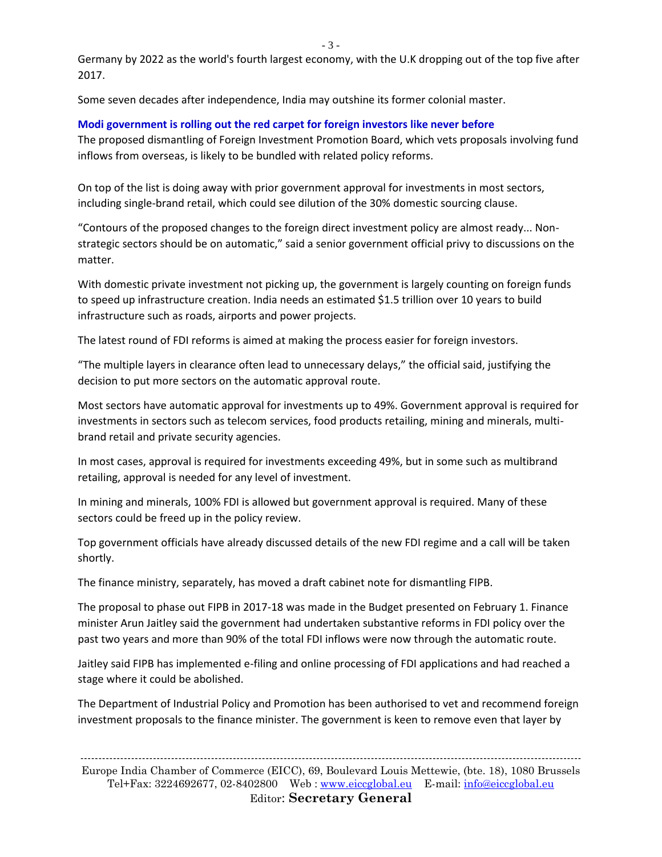Germany by 2022 as the world's fourth largest economy, with the U.K dropping out of the top five after 2017.

Some seven decades after independence, India may outshine its former colonial master.

#### **Modi government is rolling out the red carpet for foreign investors like never before**

The proposed dismantling of Foreign Investment Promotion Board, which vets proposals involving fund inflows from overseas, is likely to be bundled with related policy reforms.

On top of the list is doing away with prior government approval for investments in most sectors, including single-brand retail, which could see dilution of the 30% domestic sourcing clause.

"Contours of the proposed changes to the foreign direct investment policy are almost ready... Nonstrategic sectors should be on automatic," said a senior government official privy to discussions on the matter.

With domestic private investment not picking up, the government is largely counting on foreign funds to speed up infrastructure creation. India needs an estimated \$1.5 trillion over 10 years to build infrastructure such as roads, airports and power projects.

The latest round of FDI reforms is aimed at making the process easier for foreign investors.

"The multiple layers in clearance often lead to unnecessary delays," the official said, justifying the decision to put more sectors on the automatic approval route.

Most sectors have automatic approval for investments up to 49%. Government approval is required for investments in sectors such as telecom services, food products retailing, mining and minerals, multibrand retail and private security agencies.

In most cases, approval is required for investments exceeding 49%, but in some such as multibrand retailing, approval is needed for any level of investment.

In mining and minerals, 100% FDI is allowed but government approval is required. Many of these sectors could be freed up in the policy review.

Top government officials have already discussed details of the new FDI regime and a call will be taken shortly.

The finance ministry, separately, has moved a draft cabinet note for dismantling FIPB.

The proposal to phase out FIPB in 2017-18 was made in the Budget presented on February 1. Finance minister Arun Jaitley said the government had undertaken substantive reforms in FDI policy over the past two years and more than 90% of the total FDI inflows were now through the automatic route.

Jaitley said FIPB has implemented e-filing and online processing of FDI applications and had reached a stage where it could be abolished.

The Department of Industrial Policy and Promotion has been authorised to vet and recommend foreign investment proposals to the finance minister. The government is keen to remove even that layer by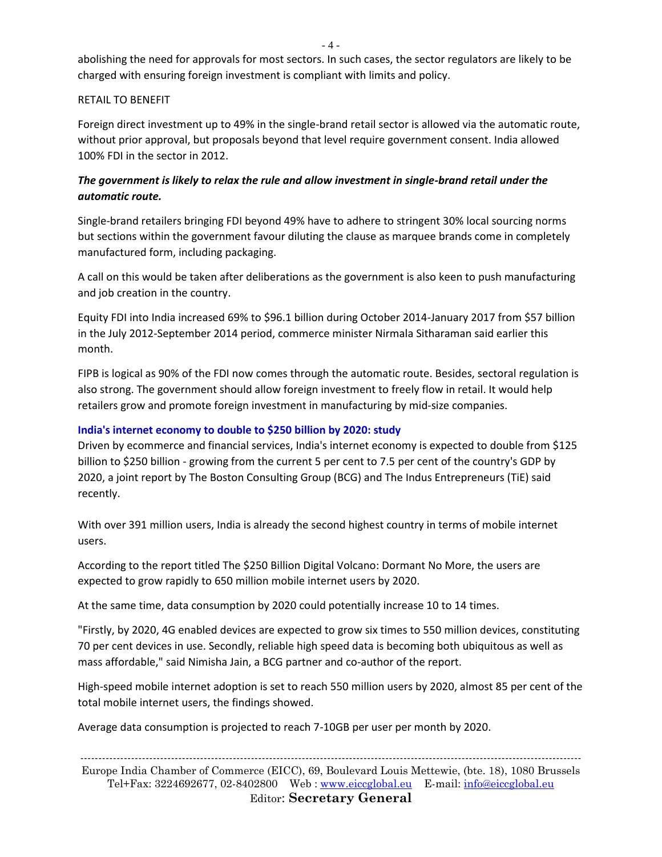abolishing the need for approvals for most sectors. In such cases, the sector regulators are likely to be charged with ensuring foreign investment is compliant with limits and policy.

#### RETAIL TO BENEFIT

Foreign direct investment up to 49% in the single-brand retail sector is allowed via the automatic route, without prior approval, but proposals beyond that level require government consent. India allowed 100% FDI in the sector in 2012.

# *The government is likely to relax the rule and allow investment in single-brand retail under the automatic route.*

Single-brand retailers bringing FDI beyond 49% have to adhere to stringent 30% local sourcing norms but sections within the government favour diluting the clause as marquee brands come in completely manufactured form, including packaging.

A call on this would be taken after deliberations as the government is also keen to push manufacturing and job creation in the country.

Equity FDI into India increased 69% to \$96.1 billion during October 2014-January 2017 from \$57 billion in the July 2012-September 2014 period, commerce minister Nirmala Sitharaman said earlier this month.

FIPB is logical as 90% of the FDI now comes through the automatic route. Besides, sectoral regulation is also strong. The government should allow foreign investment to freely flow in retail. It would help retailers grow and promote foreign investment in manufacturing by mid-size companies.

#### **India's internet economy to double to \$250 billion by 2020: study**

Driven by ecommerce and financial services, India's internet economy is expected to double from \$125 billion to \$250 billion - growing from the current 5 per cent to 7.5 per cent of the country's GDP by 2020, a joint report by The Boston Consulting Group (BCG) and The Indus Entrepreneurs (TiE) said recently.

With over 391 million users, India is already the second highest country in terms of mobile internet users.

According to the report titled The \$250 Billion Digital Volcano: Dormant No More, the users are expected to grow rapidly to 650 million mobile internet users by 2020.

At the same time, data consumption by 2020 could potentially increase 10 to 14 times.

"Firstly, by 2020, 4G enabled devices are expected to grow six times to 550 million devices, constituting 70 per cent devices in use. Secondly, reliable high speed data is becoming both ubiquitous as well as mass affordable," said Nimisha Jain, a BCG partner and co-author of the report.

High-speed mobile internet adoption is set to reach 550 million users by 2020, almost 85 per cent of the total mobile internet users, the findings showed.

Average data consumption is projected to reach 7-10GB per user per month by 2020.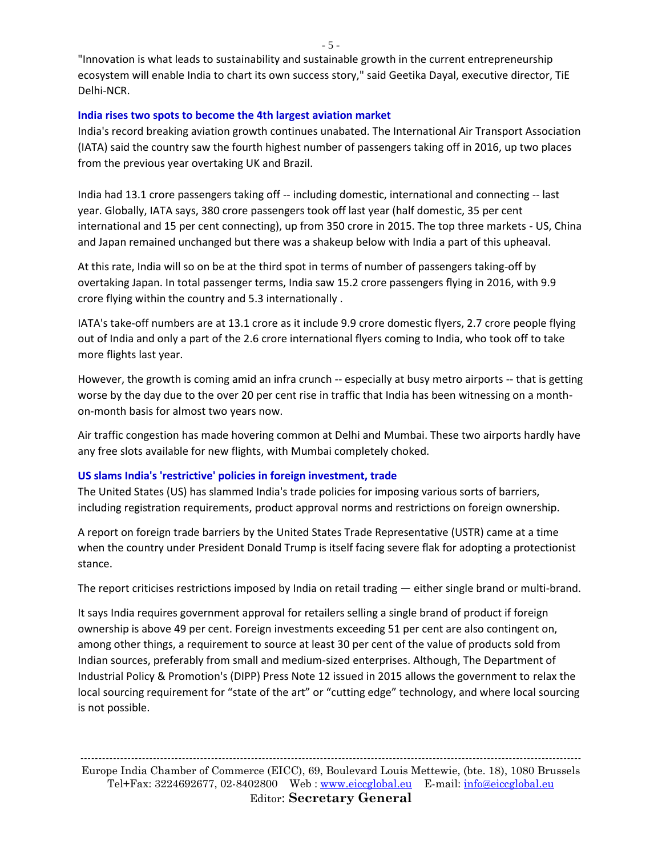"Innovation is what leads to sustainability and sustainable growth in the current entrepreneurship ecosystem will enable India to chart its own success story," said Geetika Dayal, executive director, TiE Delhi-NCR.

#### **India rises two spots to become the 4th largest aviation market**

India's record breaking aviation growth continues unabated. The International Air Transport Association (IATA) said the country saw the fourth highest number of passengers taking off in 2016, up two places from the previous year overtaking UK and Brazil.

India had 13.1 crore passengers taking off -- including domestic, international and connecting -- last year. Globally, IATA says, 380 crore passengers took off last year (half domestic, 35 per cent international and 15 per cent connecting), up from 350 crore in 2015. The top three markets - US, China and Japan remained unchanged but there was a shakeup below with India a part of this upheaval.

At this rate, India will so on be at the third spot in terms of number of passengers taking-off by overtaking Japan. In total passenger terms, India saw 15.2 crore passengers flying in 2016, with 9.9 crore flying within the country and 5.3 internationally .

IATA's take-off numbers are at 13.1 crore as it include 9.9 crore domestic flyers, 2.7 crore people flying out of India and only a part of the 2.6 crore international flyers coming to India, who took off to take more flights last year.

However, the growth is coming amid an infra crunch -- especially at busy metro airports -- that is getting worse by the day due to the over 20 per cent rise in traffic that India has been witnessing on a monthon-month basis for almost two years now.

Air traffic congestion has made hovering common at Delhi and Mumbai. These two airports hardly have any free slots available for new flights, with Mumbai completely choked.

#### **US slams India's 'restrictive' policies in foreign investment, trade**

The United States (US) has slammed India's trade policies for imposing various sorts of barriers, including registration requirements, product approval norms and restrictions on foreign ownership.

A report on foreign trade barriers by the United States Trade Representative (USTR) came at a time when the country under President Donald Trump is itself facing severe flak for adopting a protectionist stance.

The report criticises restrictions imposed by India on retail trading — either single brand or multi-brand.

It says India requires government approval for retailers selling a single brand of product if foreign ownership is above 49 per cent. Foreign investments exceeding 51 per cent are also contingent on, among other things, a requirement to source at least 30 per cent of the value of products sold from Indian sources, preferably from small and medium-sized enterprises. Although, The Department of Industrial Policy & Promotion's (DIPP) Press Note 12 issued in 2015 allows the government to relax the local sourcing requirement for "state of the art" or "cutting edge" technology, and where local sourcing is not possible.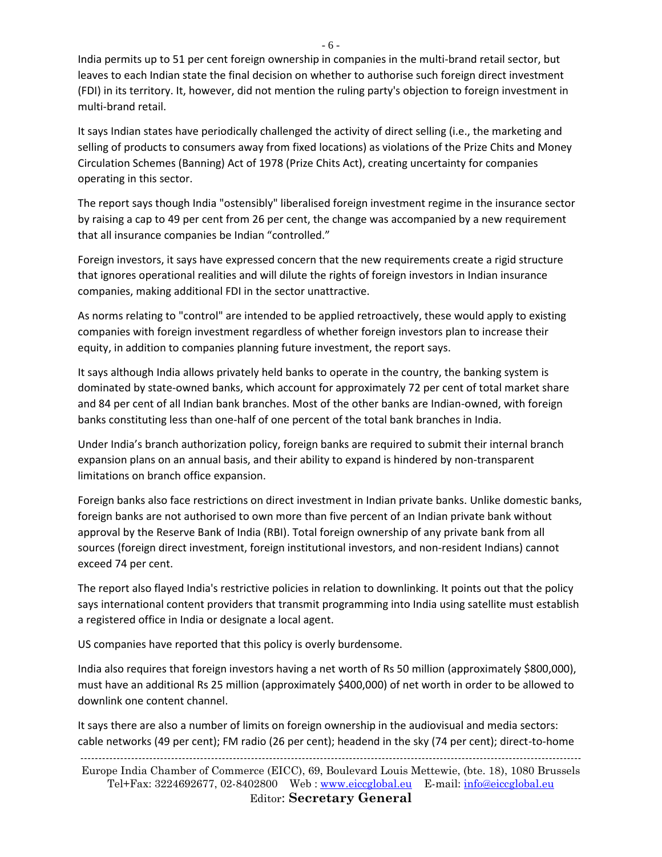India permits up to 51 per cent foreign ownership in companies in the multi-brand retail sector, but leaves to each Indian state the final decision on whether to authorise such foreign direct investment (FDI) in its territory. It, however, did not mention the ruling party's objection to foreign investment in multi-brand retail.

It says Indian states have periodically challenged the activity of direct selling (i.e., the marketing and selling of products to consumers away from fixed locations) as violations of the Prize Chits and Money Circulation Schemes (Banning) Act of 1978 (Prize Chits Act), creating uncertainty for companies operating in this sector.

The report says though India "ostensibly" liberalised foreign investment regime in the insurance sector by raising a cap to 49 per cent from 26 per cent, the change was accompanied by a new requirement that all insurance companies be Indian "controlled."

Foreign investors, it says have expressed concern that the new requirements create a rigid structure that ignores operational realities and will dilute the rights of foreign investors in Indian insurance companies, making additional FDI in the sector unattractive.

As norms relating to "control" are intended to be applied retroactively, these would apply to existing companies with foreign investment regardless of whether foreign investors plan to increase their equity, in addition to companies planning future investment, the report says.

It says although India allows privately held banks to operate in the country, the banking system is dominated by state-owned banks, which account for approximately 72 per cent of total market share and 84 per cent of all Indian bank branches. Most of the other banks are Indian-owned, with foreign banks constituting less than one-half of one percent of the total bank branches in India.

Under India's branch authorization policy, foreign banks are required to submit their internal branch expansion plans on an annual basis, and their ability to expand is hindered by non-transparent limitations on branch office expansion.

Foreign banks also face restrictions on direct investment in Indian private banks. Unlike domestic banks, foreign banks are not authorised to own more than five percent of an Indian private bank without approval by the Reserve Bank of India (RBI). Total foreign ownership of any private bank from all sources (foreign direct investment, foreign institutional investors, and non-resident Indians) cannot exceed 74 per cent.

The report also flayed India's restrictive policies in relation to downlinking. It points out that the policy says international content providers that transmit programming into India using satellite must establish a registered office in India or designate a local agent.

US companies have reported that this policy is overly burdensome.

India also requires that foreign investors having a net worth of Rs 50 million (approximately \$800,000), must have an additional Rs 25 million (approximately \$400,000) of net worth in order to be allowed to downlink one content channel.

It says there are also a number of limits on foreign ownership in the audiovisual and media sectors: cable networks (49 per cent); FM radio (26 per cent); headend in the sky (74 per cent); direct-to-home

------------------------------------------------------------------------------------------------------------------------------------------ Europe India Chamber of Commerce (EICC), 69, Boulevard Louis Mettewie, (bte. 18), 1080 Brussels Tel+Fax: 3224692677, 02-8402800 Web : [www.eiccglobal.eu](http://www.eiccglobal.eu/) E-mail: [info@eiccglobal.eu](mailto:info@eiccglobal.eu) Editor: **Secretary General**

- 6 -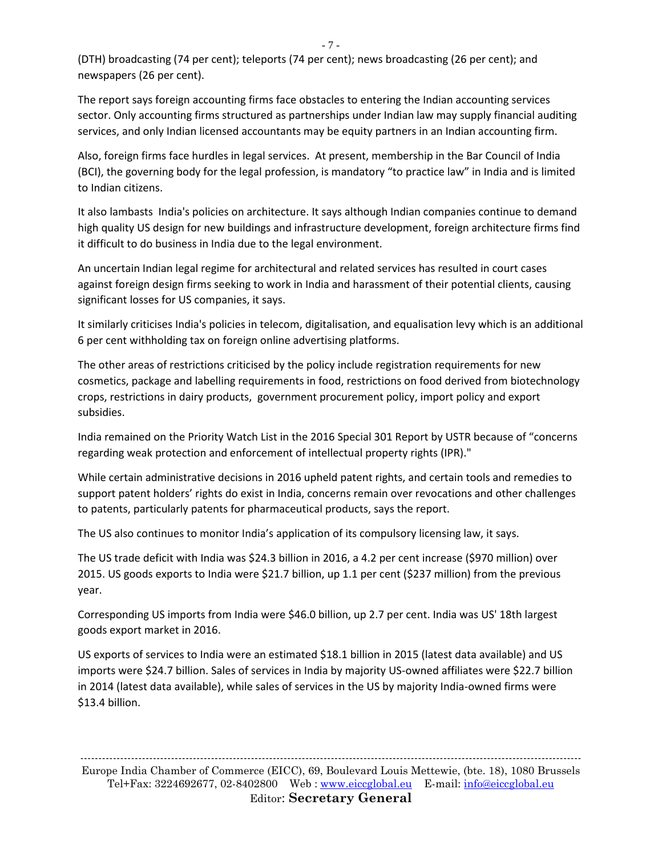(DTH) broadcasting (74 per cent); teleports (74 per cent); news broadcasting (26 per cent); and newspapers (26 per cent).

The report says foreign accounting firms face obstacles to entering the Indian accounting services sector. Only accounting firms structured as partnerships under Indian law may supply financial auditing services, and only Indian licensed accountants may be equity partners in an Indian accounting firm.

Also, foreign firms face hurdles in legal services. At present, membership in the Bar Council of India (BCI), the governing body for the legal profession, is mandatory "to practice law" in India and is limited to Indian citizens.

It also lambasts India's policies on architecture. It says although Indian companies continue to demand high quality US design for new buildings and infrastructure development, foreign architecture firms find it difficult to do business in India due to the legal environment.

An uncertain Indian legal regime for architectural and related services has resulted in court cases against foreign design firms seeking to work in India and harassment of their potential clients, causing significant losses for US companies, it says.

It similarly criticises India's policies in telecom, digitalisation, and equalisation levy which is an additional 6 per cent withholding tax on foreign online advertising platforms.

The other areas of restrictions criticised by the policy include registration requirements for new cosmetics, package and labelling requirements in food, restrictions on food derived from biotechnology crops, restrictions in dairy products, government procurement policy, import policy and export subsidies.

India remained on the Priority Watch List in the 2016 Special 301 Report by USTR because of "concerns regarding weak protection and enforcement of intellectual property rights (IPR)."

While certain administrative decisions in 2016 upheld patent rights, and certain tools and remedies to support patent holders' rights do exist in India, concerns remain over revocations and other challenges to patents, particularly patents for pharmaceutical products, says the report.

The US also continues to monitor India's application of its compulsory licensing law, it says.

The US trade deficit with India was \$24.3 billion in 2016, a 4.2 per cent increase (\$970 million) over 2015. US goods exports to India were \$21.7 billion, up 1.1 per cent (\$237 million) from the previous year.

Corresponding US imports from India were \$46.0 billion, up 2.7 per cent. India was US' 18th largest goods export market in 2016.

US exports of services to India were an estimated \$18.1 billion in 2015 (latest data available) and US imports were \$24.7 billion. Sales of services in India by majority US-owned affiliates were \$22.7 billion in 2014 (latest data available), while sales of services in the US by majority India-owned firms were \$13.4 billion.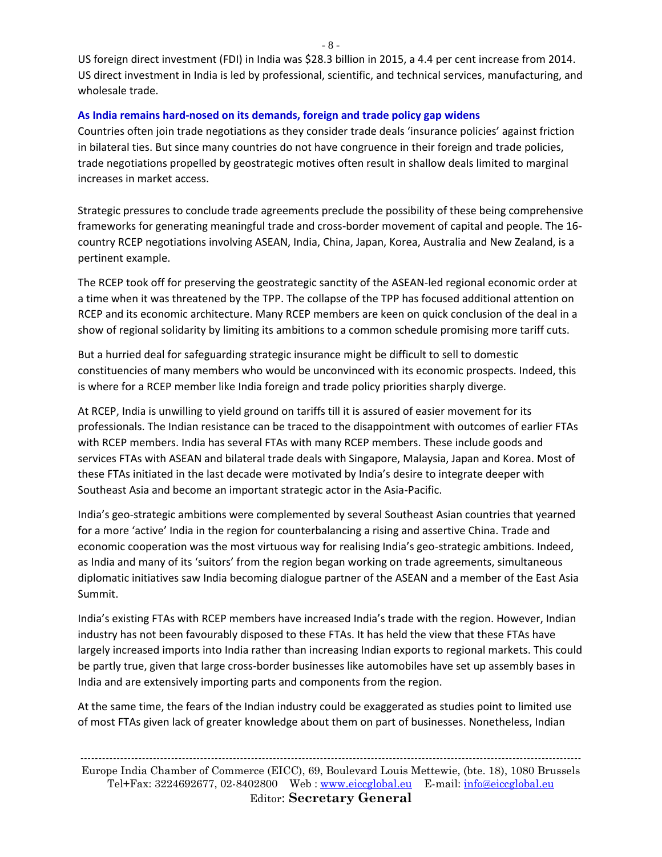US foreign direct investment (FDI) in India was \$28.3 billion in 2015, a 4.4 per cent increase from 2014. US direct investment in India is led by professional, scientific, and technical services, manufacturing, and wholesale trade.

### **As India remains hard-nosed on its demands, foreign and trade policy gap widens**

Countries often join trade negotiations as they consider trade deals 'insurance policies' against friction in bilateral ties. But since many countries do not have congruence in their foreign and trade policies, trade negotiations propelled by geostrategic motives often result in shallow deals limited to marginal increases in market access.

Strategic pressures to conclude trade agreements preclude the possibility of these being comprehensive frameworks for generating meaningful trade and cross-border movement of capital and people. The 16 country RCEP negotiations involving ASEAN, India, China, Japan, Korea, Australia and New Zealand, is a pertinent example.

The RCEP took off for preserving the geostrategic sanctity of the ASEAN-led regional economic order at a time when it was threatened by the TPP. The collapse of the TPP has focused additional attention on RCEP and its economic architecture. Many RCEP members are keen on quick conclusion of the deal in a show of regional solidarity by limiting its ambitions to a common schedule promising more tariff cuts.

But a hurried deal for safeguarding strategic insurance might be difficult to sell to domestic constituencies of many members who would be unconvinced with its economic prospects. Indeed, this is where for a RCEP member like India foreign and trade policy priorities sharply diverge.

At RCEP, India is unwilling to yield ground on tariffs till it is assured of easier movement for its professionals. The Indian resistance can be traced to the disappointment with outcomes of earlier FTAs with RCEP members. India has several FTAs with many RCEP members. These include goods and services FTAs with ASEAN and bilateral trade deals with Singapore, Malaysia, Japan and Korea. Most of these FTAs initiated in the last decade were motivated by India's desire to integrate deeper with Southeast Asia and become an important strategic actor in the Asia-Pacific.

India's geo-strategic ambitions were complemented by several Southeast Asian countries that yearned for a more 'active' India in the region for counterbalancing a rising and assertive China. Trade and economic cooperation was the most virtuous way for realising India's geo-strategic ambitions. Indeed, as India and many of its 'suitors' from the region began working on trade agreements, simultaneous diplomatic initiatives saw India becoming dialogue partner of the ASEAN and a member of the East Asia Summit.

India's existing FTAs with RCEP members have increased India's trade with the region. However, Indian industry has not been favourably disposed to these FTAs. It has held the view that these FTAs have largely increased imports into India rather than increasing Indian exports to regional markets. This could be partly true, given that large cross-border businesses like automobiles have set up assembly bases in India and are extensively importing parts and components from the region.

At the same time, the fears of the Indian industry could be exaggerated as studies point to limited use of most FTAs given lack of greater knowledge about them on part of businesses. Nonetheless, Indian